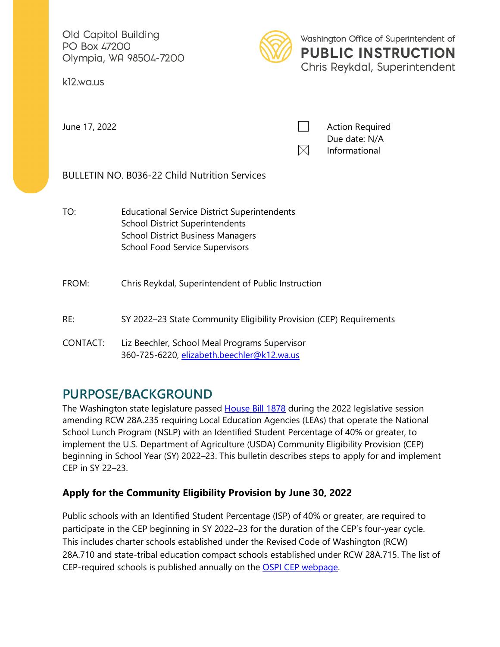Old Capitol Building PO Box 47200 Olympia, WA 98504-7200

k12.wa.us



Washington Office of Superintendent of **PUBLIC INSTRUCTION** Chris Reykdal, Superintendent

June 17, 2022 **Action Required Action Required** Due date: N/A  $\boxtimes$ Informational

BULLETIN NO. B036-22 Child Nutrition Services

TO: Educational Service District Superintendents School District Superintendents School District Business Managers School Food Service Supervisors

### FROM: Chris Reykdal, Superintendent of Public Instruction

# RE: SY 2022–23 State Community Eligibility Provision (CEP) Requirements<br>CONTACT: Liz Beechler, School Meal Programs Supervisor

360-725-6220, <u>elizabeth.beechler@k12.wa.us</u>

## **PURPOSE/BACKGROUND**

 School Lunch Program (NSLP) with an Identified Student Percentage of 40% or greater, to The Washington state legislature passed [House Bill 1878](https://app.leg.wa.gov/billsummary?BillNumber=1878&Year=2021&Initiative=false) during the 2022 legislative session amending RCW 28A.235 requiring Local Education Agencies (LEAs) that operate the National implement the U.S. Department of Agriculture (USDA) Community Eligibility Provision (CEP) beginning in School Year (SY) 2022–23. This bulletin describes steps to apply for and implement CEP in SY 22–23.

## **Apply for the Community Eligibility Provision by June 30, 2022**

 Public schools with an Identified Student Percentage (ISP) of 40% or greater, are required to participate in the CEP beginning in SY 2022–23 for the duration of the CEP's four-year cycle. This includes charter schools established under the Revised Code of Washington (RCW) 28A.710 and state-tribal education compact schools established under RCW 28A.715. The list of CEP-required schools is published annually on the [OSPI CEP webpage.](https://www.k12.wa.us/policy-funding/child-nutrition/school-meals/national-school-lunch-program/community-eligibility-provision-cep-and-provision-2)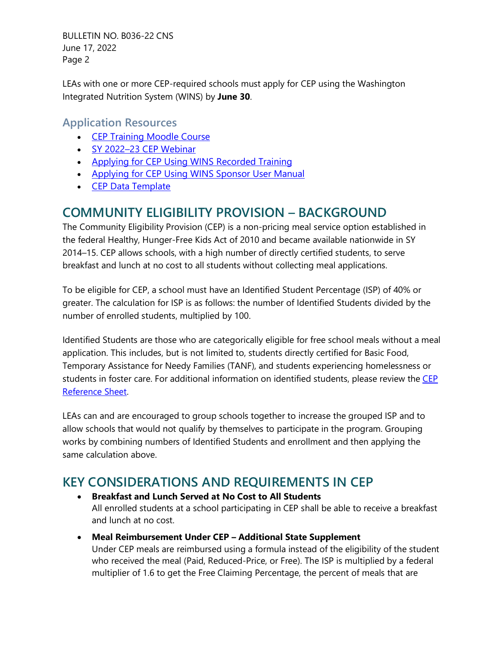BULLETIN NO. B036-22 CNS June 17, 2022 Page 2

LEAs with one or more CEP-required schools must apply for CEP using the Washington Integrated Nutrition System (WINS) by **June 30**.

## **Application Resources**

- [CEP Training Moodle Course](https://learn.ospi.k12.wa.us/login/index.php)
- [SY 2022–23 CEP Webinar](https://learn.ospi.k12.wa.us/login/index.php)
- [Applying for CEP Using WINS Recorded Training](https://learn.ospi.k12.wa.us/login/index.php)
- Applying for CEP Using WINS Sponsor User Manual
- [CEP Data Template](https://www.k12.wa.us/sites/default/files/public/childnutrition/programs/nslbp/pubdocs/UpdatedCEPDataTemplate-2022-23.xlsx)

## **COMMUNITY ELIGIBILITY PROVISION – BACKGROUND**

 breakfast and lunch at no cost to all students without collecting meal applications. The Community Eligibility Provision (CEP) is a non-pricing meal service option established in the federal Healthy, Hunger-Free Kids Act of 2010 and became available nationwide in SY 2014–15. CEP allows schools, with a high number of directly certified students, to serve

 To be eligible for CEP, a school must have an Identified Student Percentage (ISP) of 40% or number of enrolled students, multiplied by 100. greater. The calculation for ISP is as follows: the number of Identified Students divided by the

 Identified Students are those who are categorically eligible for free school meals without a meal application. This includes, but is not limited to, students directly certified for Basic Food, students in foster care. For additional information on identified students, please review the CEP Temporary Assistance for Needy Families (TANF), and students experiencing homelessness or [Reference Sheet.](https://www.k12.wa.us/sites/default/files/public/childnutrition/programs/nslbp/pubdocs/SchoolNutritionProgRefSheetsCommunityEligibilityProvision.pdf)

 LEAs can and are encouraged to group schools together to increase the grouped ISP and to allow schools that would not qualify by themselves to participate in the program. Grouping works by combining numbers of Identified Students and enrollment and then applying the same calculation above.

## **KEY CONSIDERATIONS AND REQUIREMENTS IN CEP**

- **Breakfast and Lunch Served at No Cost to All Students**  All enrolled students at a school participating in CEP shall be able to receive a breakfast and lunch at no cost.
- Under CEP meals are reimbursed using a formula instead of the eligibility of the student • **Meal Reimbursement Under CEP – Additional State Supplement**  who received the meal (Paid, Reduced-Price, or Free). The ISP is multiplied by a federal multiplier of 1.6 to get the Free Claiming Percentage, the percent of meals that are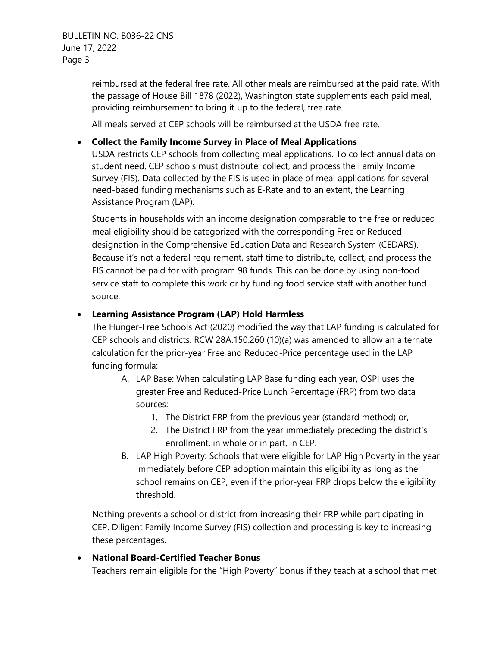reimbursed at the federal free rate. All other meals are reimbursed at the paid rate. With the passage of House Bill 1878 (2022), Washington state supplements each paid meal, providing reimbursement to bring it up to the federal, free rate.

All meals served at CEP schools will be reimbursed at the USDA free rate.

#### • **Collect the Family Income Survey in Place of Meal Applications**

USDA restricts CEP schools from collecting meal applications. To collect annual data on student need, CEP schools must distribute, collect, and process the Family Income Survey (FIS). Data collected by the FIS is used in place of meal applications for several need-based funding mechanisms such as E-Rate and to an extent, the Learning Assistance Program (LAP).

 meal eligibility should be categorized with the corresponding Free or Reduced Because it's not a federal requirement, staff time to distribute, collect, and process the Students in households with an income designation comparable to the free or reduced designation in the Comprehensive Education Data and Research System (CEDARS). FIS cannot be paid for with program 98 funds. This can be done by using non-food service staff to complete this work or by funding food service staff with another fund source.

#### • **Learning Assistance Program (LAP) Hold Harmless**

The Hunger-Free Schools Act (2020) modified the way that LAP funding is calculated for CEP schools and districts. RCW 28A.150.260 (10)(a) was amended to allow an alternate calculation for the prior-year Free and Reduced-Price percentage used in the LAP funding formula:

- sources: A. LAP Base: When calculating LAP Base funding each year, OSPI uses the greater Free and Reduced-Price Lunch Percentage (FRP) from two data
	- 1. The District FRP from the previous year (standard method) or,
	- 2. The District FRP from the year immediately preceding the district's enrollment, in whole or in part, in CEP.
- school remains on CEP, even if the prior-year FRP drops below the eligibility B. LAP High Poverty: Schools that were eligible for LAP High Poverty in the year immediately before CEP adoption maintain this eligibility as long as the threshold.

 CEP. Diligent Family Income Survey (FIS) collection and processing is key to increasing these percentages. Nothing prevents a school or district from increasing their FRP while participating in

#### • **National Board-Certified Teacher Bonus**

Teachers remain eligible for the "High Poverty" bonus if they teach at a school that met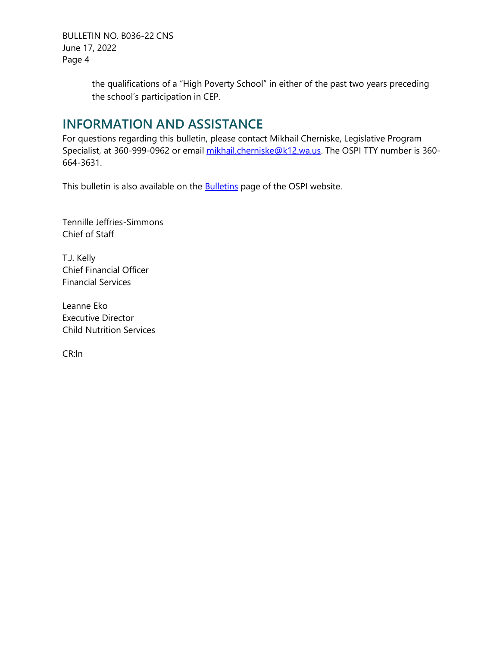BULLETIN NO. B036-22 CNS June 17, 2022 Page 4

> the qualifications of a "High Poverty School" in either of the past two years preceding the school's participation in CEP.

## **INFORMATION AND ASSISTANCE**

For questions regarding this bulletin, please contact Mikhail Cherniske, Legislative Program Specialist, at 360-999-0962 or email [mikhail.cherniske@k12.wa.us.](mailto:mikhail.cherniske@k12.wa.us) The OSPI TTY number is 360-664-3631.

This bulletin is also available on the **Bulletins** page of the OSPI website.

Tennille Jeffries-Simmons<br>Chief of Staff<br>T.J. Kelly Chief of Staff

Chief Financial Officer Financial Services

**Executive Director** Leanne Eko **Child Nutrition Services** 

CR:ln